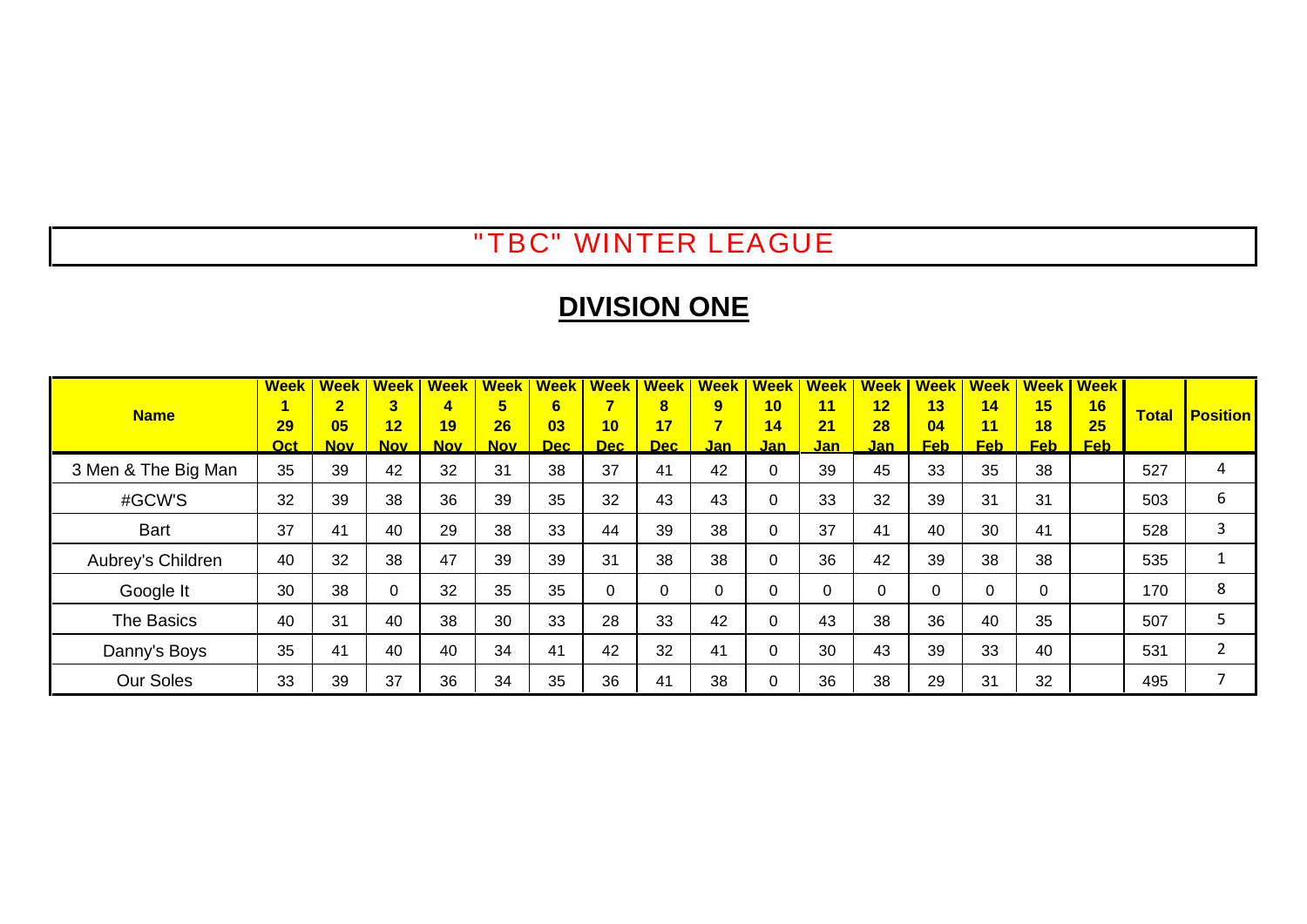### "TBC" WINTER LEAGUE

# **DIVISION ONE**

|                     | <b>Week</b> | <b>Week</b>    | <b>Week</b>             | <b>Week</b> | <b>Week</b> | <b>Week</b>      | <b>Week</b> | <b>Week</b> | <b>Week</b>    | <b>Week</b> | <b>Week</b> | Week | <b>Week</b> |            | <b>Week   Week  </b> | <u>l Week</u> |              |                 |
|---------------------|-------------|----------------|-------------------------|-------------|-------------|------------------|-------------|-------------|----------------|-------------|-------------|------|-------------|------------|----------------------|---------------|--------------|-----------------|
| <b>Name</b>         |             | $\overline{2}$ | $\overline{\mathbf{3}}$ | 4           | 5           | 6                |             | $\bf{8}$    | 9              | 10          | 11          | 12   | 13          | 14         | 15                   | 16            | <b>Total</b> | <b>Position</b> |
|                     | 29          | 05             | 12                      | 19          | 26          | 03               | 10          | 17          | $\overline{7}$ | 14          | 21          | 28   | 04          | 11         | 18                   | 25            |              |                 |
|                     | <b>Oct</b>  | <b>Nov</b>     | <b>Nov</b>              | <b>Nov</b>  | <b>Nov</b>  | Dec <sub>2</sub> | Dec         | Dec:        | Jan l          | <u>Jan</u>  | <u>Jan</u>  | Jan  | <b>Feb</b>  | <b>Feb</b> | <b>Feb</b>           | <b>Feb</b>    |              |                 |
| 3 Men & The Big Man | 35          | 39             | 42                      | 32          | 31          | 38               | 37          | 41          | 42             | $\Omega$    | 39          | 45   | 33          | 35         | 38                   |               | 527          | 4               |
| #GCW'S              | 32          | 39             | 38                      | 36          | 39          | 35               | 32          | 43          | 43             | $\Omega$    | 33          | 32   | 39          | 31         | 31                   |               | 503          | 6               |
| <b>Bart</b>         | 37          | 41             | 40                      | 29          | 38          | 33               | 44          | 39          | 38             | $\Omega$    | 37          | 41   | 40          | 30         | 41                   |               | 528          | 3               |
| Aubrey's Children   | 40          | 32             | 38                      | 47          | 39          | 39               | 31          | 38          | 38             | $\mathbf 0$ | 36          | 42   | 39          | 38         | 38                   |               | 535          |                 |
| Google It           | 30          | 38             | 0                       | 32          | 35          | 35               | 0           | 0           | 0              | $\Omega$    | C           | 0    | 0           | $\Omega$   | $\Omega$             |               | 170          | 8               |
| The Basics          | 40          | 31             | 40                      | 38          | 30          | 33               | 28          | 33          | 42             | $\Omega$    | 43          | 38   | 36          | 40         | 35                   |               | 507          |                 |
| Danny's Boys        | 35          | 41             | 40                      | 40          | 34          | 41               | 42          | 32          | 41             | $\Omega$    | 30          | 43   | 39          | 33         | 40                   |               | 531          |                 |
| <b>Our Soles</b>    | 33          | 39             | 37                      | 36          | 34          | 35               | 36          | 41          | 38             | $\Omega$    | 36          | 38   | 29          | 31         | 32                   |               | 495          |                 |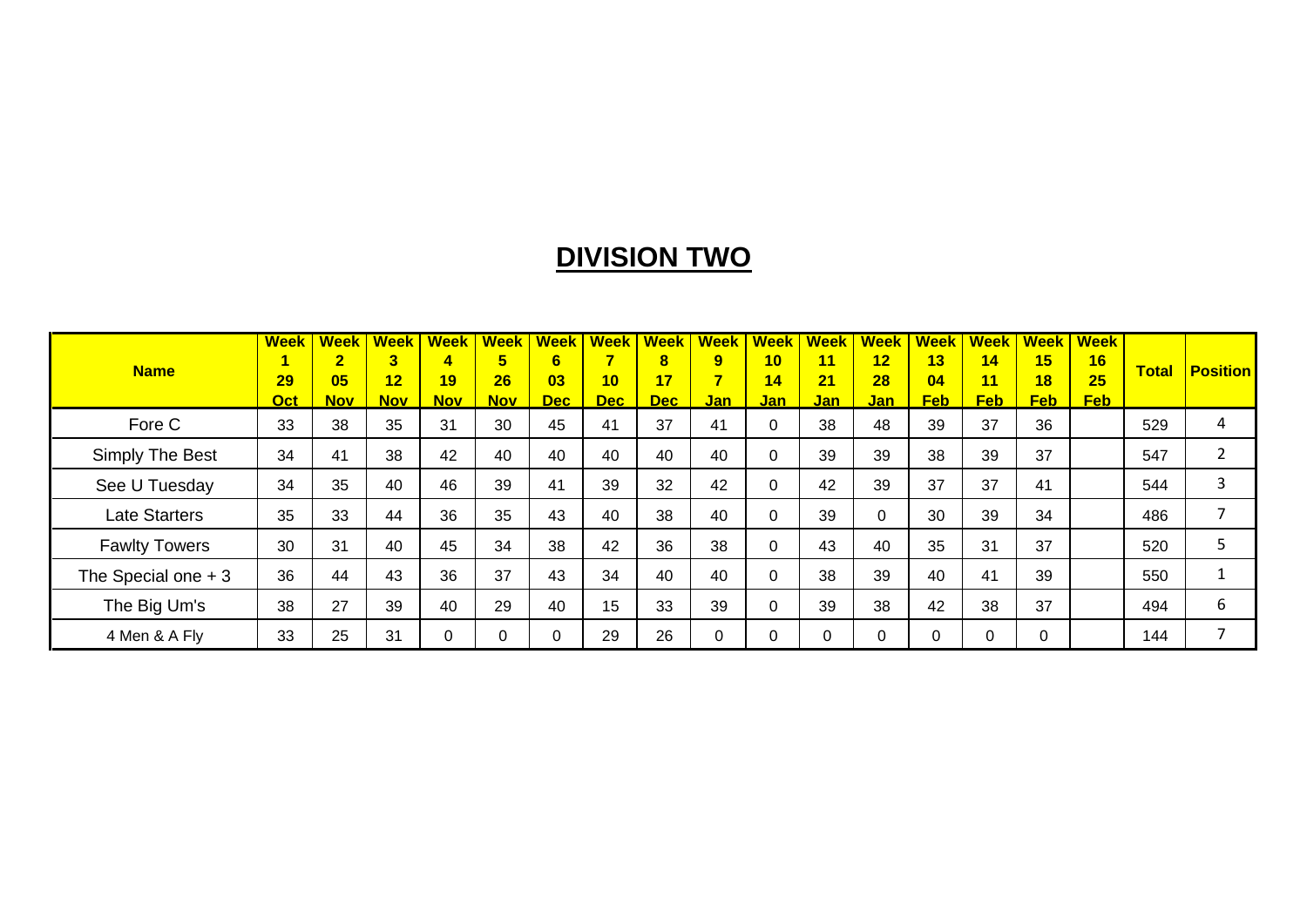# **DIVISION TWO**

|                      | <b>Week</b>      | <b>Week</b>      | <b>Week</b> I           | <b>Week</b>      | <b>Week</b>      | Week        | <b>Week</b>      | <b>Week</b>      | Week       | <b>Week</b>      | <b>Week</b>      | <b>Week</b>      |                  | <b>Week   Week  </b> | <b>Week</b>      | <b>Week</b>      |              |                          |
|----------------------|------------------|------------------|-------------------------|------------------|------------------|-------------|------------------|------------------|------------|------------------|------------------|------------------|------------------|----------------------|------------------|------------------|--------------|--------------------------|
| <b>Name</b>          |                  | $\overline{2}$   | $\overline{\mathbf{3}}$ | 4                | 5                | 6.          |                  | $\bf{8}$         | 9          | 10               | 11               | 12 <sub>2</sub>  | 13               | 14                   | 15               | 16               | <b>Total</b> | <b>Position</b>          |
|                      | 29<br><b>Oct</b> | 05<br><b>Nov</b> | 12<br>Nov L             | 19<br><b>Nov</b> | 26<br><b>Nov</b> | 03<br>Dec 1 | 10<br><b>Dec</b> | 17<br><b>Dec</b> | <u>Jan</u> | 14<br><u>Jan</u> | 21<br><u>Jan</u> | 28<br><u>Jan</u> | 04<br><b>Feb</b> | 11<br><b>Feb</b>     | 18<br><b>Feb</b> | 25<br><b>Feb</b> |              |                          |
| Fore C               | 33               | 38               | 35                      | 31               | 30               | 45          | 41               | 37               | 41         | $\Omega$         | 38               | 48               | 39               | 37                   | 36               |                  | 529          | 4                        |
| Simply The Best      | 34               | 41               | 38                      | 42               | 40               | 40          | 40               | 40               | 40         | $\Omega$         | 39               | 39               | 38               | 39                   | 37               |                  | 547          | າ                        |
| See U Tuesday        | 34               | 35               | 40                      | 46               | 39               | 41          | 39               | 32               | 42         | $\Omega$         | 42               | 39               | 37               | 37                   | 41               |                  | 544          | 3                        |
| <b>Late Starters</b> | 35               | 33               | 44                      | 36               | 35               | 43          | 40               | 38               | 40         | $\Omega$         | 39               | 0                | 30               | 39                   | 34               |                  | 486          | $\overline{\phantom{a}}$ |
| <b>Fawlty Towers</b> | 30               | 31               | 40                      | 45               | 34               | 38          | 42               | 36               | 38         | $\Omega$         | 43               | 40               | 35               | 31                   | 37               |                  | 520          |                          |
| The Special one $+3$ | 36               | 44               | 43                      | 36               | 37               | 43          | 34               | 40               | 40         | $\Omega$         | 38               | 39               | 40               | 41                   | 39               |                  | 550          |                          |
| The Big Um's         | 38               | 27               | 39                      | 40               | 29               | 40          | 15               | 33               | 39         | $\Omega$         | 39               | 38               | 42               | 38                   | 37               |                  | 494          | 6                        |
| 4 Men & A Fly        | 33               | 25               | 31                      | 0                | 0                |             | 29               | 26               | 0          | $\Omega$         |                  |                  | 0                |                      | 0                |                  | 144          | -                        |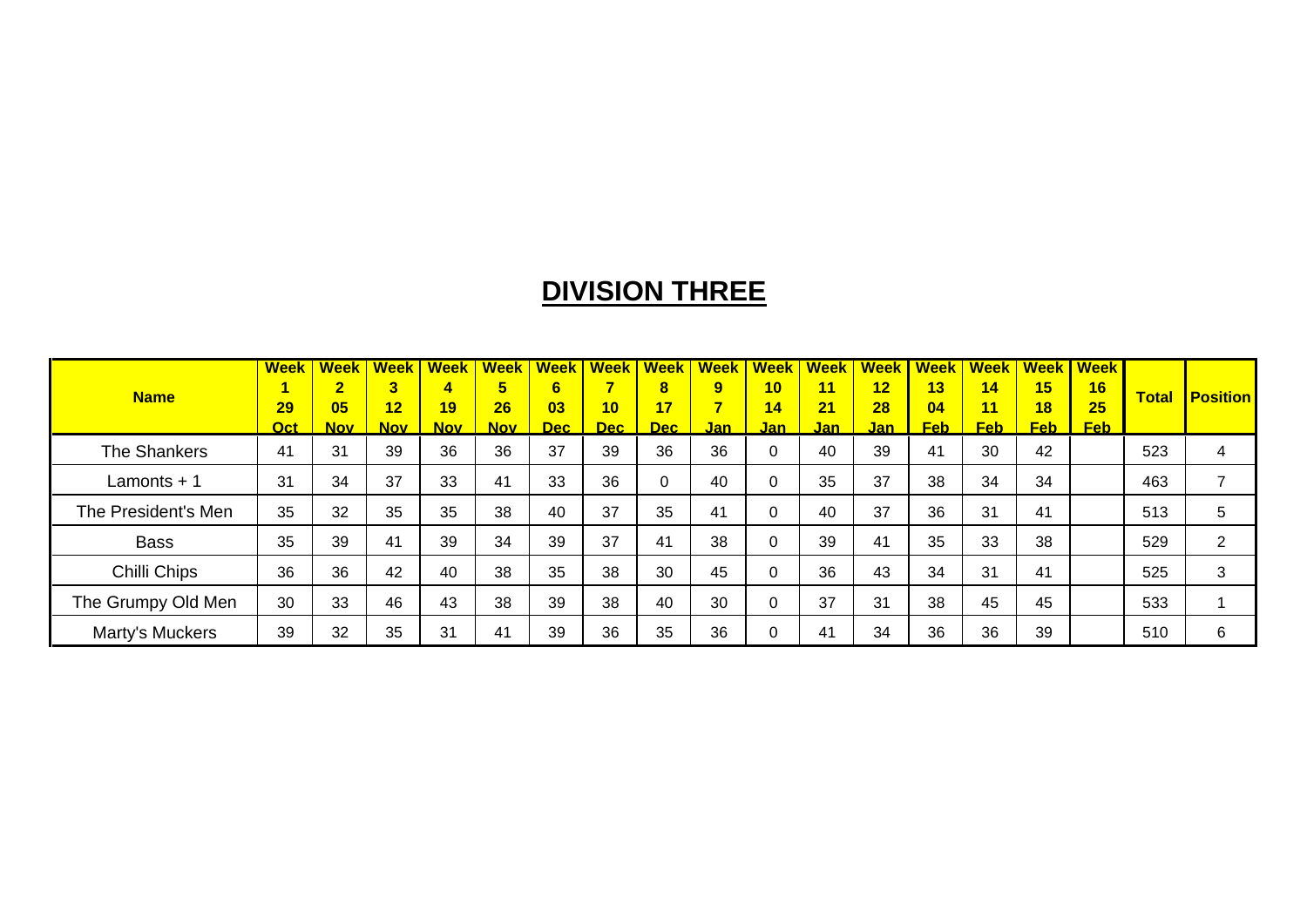# **DIVISION THREE**

|                     | <b>Week</b> | <b>Week</b>    | <b>Week</b> | <b>Week</b> | <b>Week</b>    | <b>Week</b> | <b>Week</b> | <b>Week</b> | <b>Week</b> | <b>Week</b>  | <b>Week</b> | <b>Week</b> | Week I     | <b>Week</b>       |            | <b>Week   Week</b> |              |                 |
|---------------------|-------------|----------------|-------------|-------------|----------------|-------------|-------------|-------------|-------------|--------------|-------------|-------------|------------|-------------------|------------|--------------------|--------------|-----------------|
| <b>Name</b>         |             | $\overline{2}$ | 3           | 4           | 5 <sup>5</sup> | 6.          |             | $\bf{8}$    | 9           | 10           | 11          | 12          | 13         | 14                | 15         | 16                 | <b>Total</b> | <b>Position</b> |
|                     | 29          | 05             | 12          | 19          | 26             | 03          | 10          | 17          |             | 14           | 21          | 28          | 04         | 11                | 18         | 25                 |              |                 |
|                     | <b>Oct</b>  | <b>Nov</b>     | <u>Nov</u>  | <b>Nov</b>  | <b>Nov</b>     | <b>Dec</b>  | <b>Dec</b>  | Dec         | <u>Jan</u>  | <b>Jan</b>   | <u>Jan</u>  | <u>Jan</u>  | <u>Feb</u> | $Feb$ $\parallel$ | <b>Feb</b> | <b>Feb</b>         |              |                 |
| The Shankers        | 41          | 31             | 39          | 36          | 36             | 37          | 39          | 36          | 36          | $\mathbf{0}$ | 40          | 39          | 41         | 30                | 42         |                    | 523          | 4               |
| Lamonts + 1         | 31          | 34             | 37          | 33          | 41             | 33          | 36          | 0           | 40          | $\Omega$     | 35          | 37          | 38         | 34                | 34         |                    | 463          |                 |
| The President's Men | 35          | 32             | 35          | 35          | 38             | 40          | 37          | 35          | 41          | 0            | 40          | 37          | 36         | 31                | 41         |                    | 513          | 5               |
| <b>Bass</b>         | 35          | 39             | 41          | 39          | 34             | 39          | 37          | 41          | 38          | $\Omega$     | 39          | 41          | 35         | 33                | 38         |                    | 529          | $\overline{2}$  |
| Chilli Chips        | 36          | 36             | 42          | 40          | 38             | 35          | 38          | 30          | 45          | $\Omega$     | 36          | 43          | 34         | 31                | 41         |                    | 525          | 3               |
| The Grumpy Old Men  | 30          | 33             | 46          | 43          | 38             | 39          | 38          | 40          | 30          | $\Omega$     | 37          | 31          | 38         | 45                | 45         |                    | 533          |                 |
| Marty's Muckers     | 39          | 32             | 35          | 31          | 41             | 39          | 36          | 35          | 36          | 0            | 41          | 34          | 36         | 36                | 39         |                    | 510          | 6               |